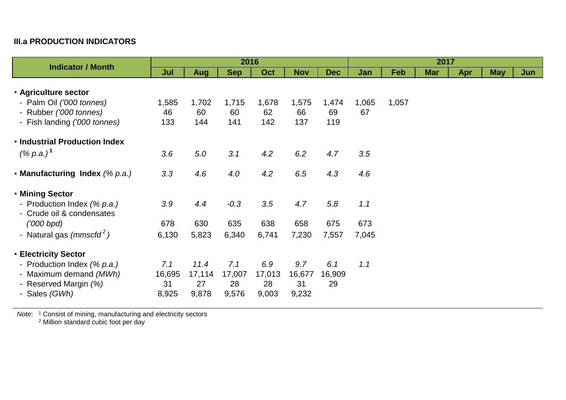## **III.a PRODUCTION INDICATORS**

| <b>Indicator / Month</b>                                                                        | 2016                         |                               |                              |                              |                              |                     |       | 2017  |            |     |            |     |  |  |
|-------------------------------------------------------------------------------------------------|------------------------------|-------------------------------|------------------------------|------------------------------|------------------------------|---------------------|-------|-------|------------|-----|------------|-----|--|--|
|                                                                                                 | Jul                          | <b>Aug</b>                    | <b>Sep</b>                   | Oct                          | <b>Nov</b>                   | <b>Dec</b>          | Jan   | Feb   | <b>Mar</b> | Apr | <b>May</b> | Jun |  |  |
| • Agriculture sector                                                                            |                              |                               |                              |                              |                              |                     |       |       |            |     |            |     |  |  |
| - Palm Oil ('000 tonnes)                                                                        | 1,585                        | 1,702                         | 1,715                        | 1,678                        | 1,575                        | 1,474               | 1,065 | 1,057 |            |     |            |     |  |  |
| - Rubber ('000 tonnes)                                                                          | 46                           | 60                            | 60                           | 62                           | 66                           | 69                  | 67    |       |            |     |            |     |  |  |
| - Fish landing ('000 tonnes)                                                                    | 133                          | 144                           | 141                          | 142                          | 137                          | 119                 |       |       |            |     |            |     |  |  |
| . Industrial Production Index                                                                   |                              |                               |                              |                              |                              |                     |       |       |            |     |            |     |  |  |
| $(% p.a.)^1$                                                                                    | 3.6                          | 5.0                           | 3.1                          | 4.2                          | 6.2                          | 4.7                 | 3.5   |       |            |     |            |     |  |  |
| • Manufacturing Index $(\%$ p.a.)                                                               | 3.3                          | 4.6                           | 4.0                          | 4.2                          | 6.5                          | 4.3                 | 4.6   |       |            |     |            |     |  |  |
| • Mining Sector                                                                                 |                              |                               |                              |                              |                              |                     |       |       |            |     |            |     |  |  |
| - Production Index (% p.a.)<br>- Crude oil & condensates                                        | 3.9                          | 4.4                           | $-0.3$                       | 3.5                          | 4.7                          | 5.8                 | 1.1   |       |            |     |            |     |  |  |
| $(000$ bpd)                                                                                     | 678                          | 630                           | 635                          | 638                          | 658                          | 675                 | 673   |       |            |     |            |     |  |  |
| - Natural gas $(mmscfd^2)$                                                                      | 6,130                        | 5,823                         | 6,340                        | 6,741                        | 7,230                        | 7,557               | 7,045 |       |            |     |            |     |  |  |
| <b>• Electricity Sector</b>                                                                     |                              |                               |                              |                              |                              |                     |       |       |            |     |            |     |  |  |
| - Production Index (% p.a.)<br>- Maximum demand (MWh)<br>- Reserved Margin (%)<br>- Sales (GWh) | 7.1<br>16,695<br>31<br>8,925 | 11.4<br>17,114<br>27<br>9,878 | 7.1<br>17,007<br>28<br>9,576 | 6.9<br>17,013<br>28<br>9,003 | 9.7<br>16,677<br>31<br>9,232 | 6.1<br>16,909<br>29 | 1.1   |       |            |     |            |     |  |  |

*Note*: <sup>1</sup> Consist of mining, manufacturing and electricity sectors

<sup>2</sup> Million standard cubic foot per day